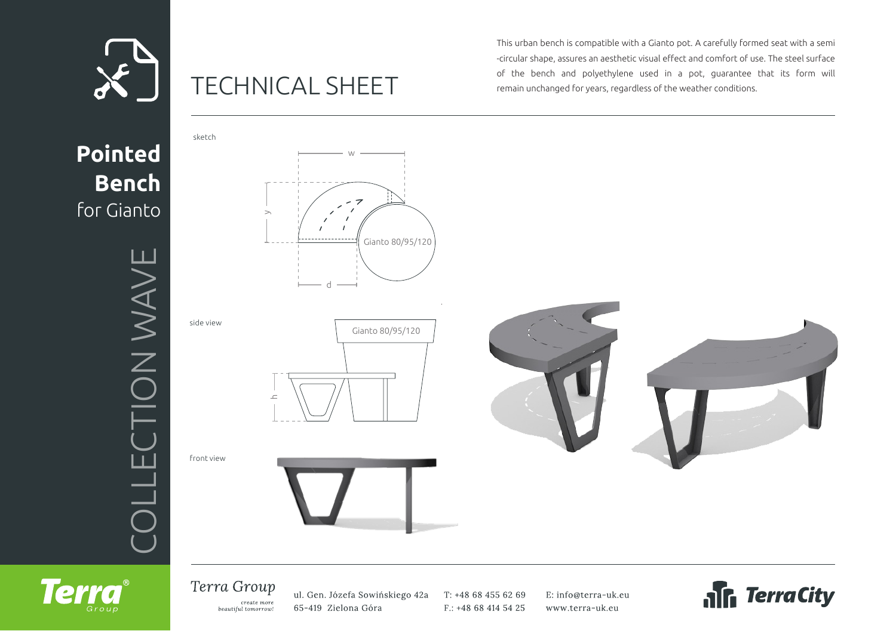

# TECHNICAL SHEET

This urban bench is compatible with a Gianto pot. A carefully formed seat with a semi -circular shape, assures an aesthetic visual effect and comfort of use. The steel surface of the bench and polyethylene used in a pot, guarantee that its form will remain unchanged for years, regardless of the weather conditions.



## Terra Group

**Terra** 

create more beautiful tomorrow! ul. Gen. Józefa Sowińskiego 42a 65-419 Zielona Góra

T: +48 68 455 62 69 F.: +48 68 414 54 25 E: info@terra-uk.eu www.terra-uk.eu